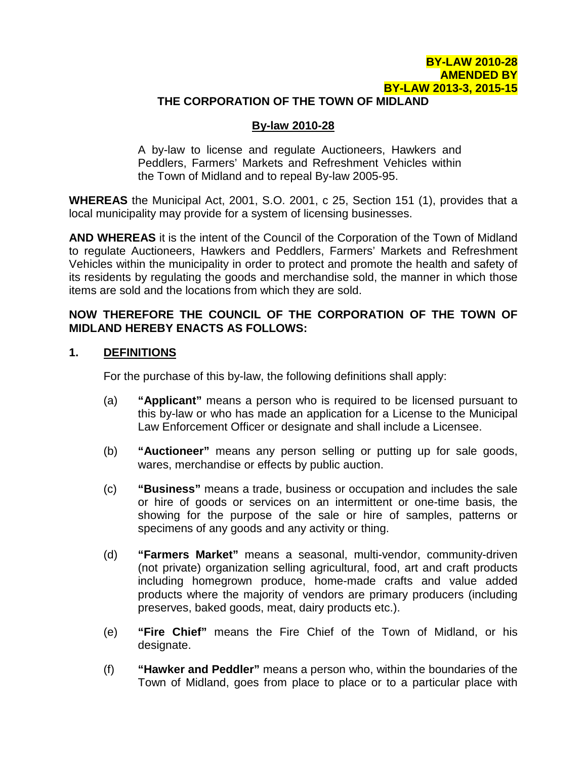### **BY-LAW 2010-28 AMENDED BY BY-LAW 2013-3, 2015-15**

#### **THE CORPORATION OF THE TOWN OF MIDLAND**

### **By-law 2010-28**

A by-law to license and regulate Auctioneers, Hawkers and Peddlers, Farmers' Markets and Refreshment Vehicles within the Town of Midland and to repeal By-law 2005-95.

**WHEREAS** the Municipal Act, 2001, S.O. 2001, c 25, Section 151 (1), provides that a local municipality may provide for a system of licensing businesses.

**AND WHEREAS** it is the intent of the Council of the Corporation of the Town of Midland to regulate Auctioneers, Hawkers and Peddlers, Farmers' Markets and Refreshment Vehicles within the municipality in order to protect and promote the health and safety of its residents by regulating the goods and merchandise sold, the manner in which those items are sold and the locations from which they are sold.

### **NOW THEREFORE THE COUNCIL OF THE CORPORATION OF THE TOWN OF MIDLAND HEREBY ENACTS AS FOLLOWS:**

#### **1. DEFINITIONS**

For the purchase of this by-law, the following definitions shall apply:

- (a) **"Applicant"** means a person who is required to be licensed pursuant to this by-law or who has made an application for a License to the Municipal Law Enforcement Officer or designate and shall include a Licensee.
- (b) **"Auctioneer"** means any person selling or putting up for sale goods, wares, merchandise or effects by public auction.
- (c) **"Business"** means a trade, business or occupation and includes the sale or hire of goods or services on an intermittent or one-time basis, the showing for the purpose of the sale or hire of samples, patterns or specimens of any goods and any activity or thing.
- (d) **"Farmers Market"** means a seasonal, multi-vendor, community-driven (not private) organization selling agricultural, food, art and craft products including homegrown produce, home-made crafts and value added products where the majority of vendors are primary producers (including preserves, baked goods, meat, dairy products etc.).
- (e) **"Fire Chief"** means the Fire Chief of the Town of Midland, or his designate.
- (f) **"Hawker and Peddler"** means a person who, within the boundaries of the Town of Midland, goes from place to place or to a particular place with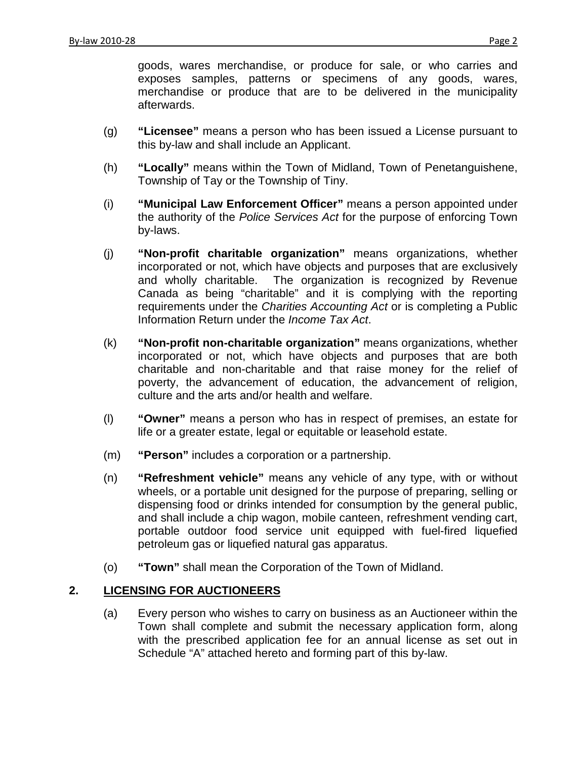goods, wares merchandise, or produce for sale, or who carries and exposes samples, patterns or specimens of any goods, wares, merchandise or produce that are to be delivered in the municipality afterwards.

- (g) **"Licensee"** means a person who has been issued a License pursuant to this by-law and shall include an Applicant.
- (h) **"Locally"** means within the Town of Midland, Town of Penetanguishene, Township of Tay or the Township of Tiny.
- (i) **"Municipal Law Enforcement Officer"** means a person appointed under the authority of the *Police Services Act* for the purpose of enforcing Town by-laws.
- (j) **"Non-profit charitable organization"** means organizations, whether incorporated or not, which have objects and purposes that are exclusively and wholly charitable. The organization is recognized by Revenue Canada as being "charitable" and it is complying with the reporting requirements under the *Charities Accounting Act* or is completing a Public Information Return under the *Income Tax Act*.
- (k) **"Non-profit non-charitable organization"** means organizations, whether incorporated or not, which have objects and purposes that are both charitable and non-charitable and that raise money for the relief of poverty, the advancement of education, the advancement of religion, culture and the arts and/or health and welfare.
- (l) **"Owner"** means a person who has in respect of premises, an estate for life or a greater estate, legal or equitable or leasehold estate.
- (m) **"Person"** includes a corporation or a partnership.
- (n) **"Refreshment vehicle"** means any vehicle of any type, with or without wheels, or a portable unit designed for the purpose of preparing, selling or dispensing food or drinks intended for consumption by the general public, and shall include a chip wagon, mobile canteen, refreshment vending cart, portable outdoor food service unit equipped with fuel-fired liquefied petroleum gas or liquefied natural gas apparatus.
- (o) **"Town"** shall mean the Corporation of the Town of Midland.

# **2. LICENSING FOR AUCTIONEERS**

(a) Every person who wishes to carry on business as an Auctioneer within the Town shall complete and submit the necessary application form, along with the prescribed application fee for an annual license as set out in Schedule "A" attached hereto and forming part of this by-law.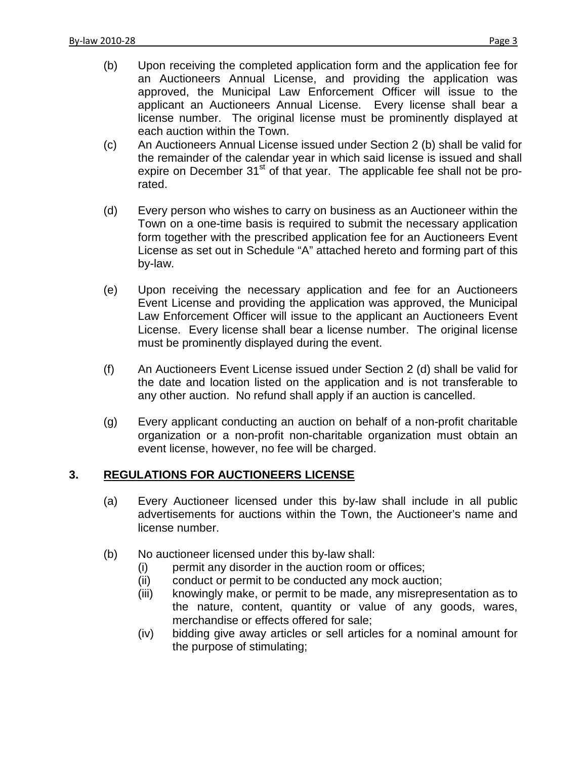- (c) An Auctioneers Annual License issued under Section 2 (b) shall be valid for the remainder of the calendar year in which said license is issued and shall expire on December  $31<sup>st</sup>$  of that year. The applicable fee shall not be prorated.
- (d) Every person who wishes to carry on business as an Auctioneer within the Town on a one-time basis is required to submit the necessary application form together with the prescribed application fee for an Auctioneers Event License as set out in Schedule "A" attached hereto and forming part of this by-law.
- (e) Upon receiving the necessary application and fee for an Auctioneers Event License and providing the application was approved, the Municipal Law Enforcement Officer will issue to the applicant an Auctioneers Event License. Every license shall bear a license number. The original license must be prominently displayed during the event.
- (f) An Auctioneers Event License issued under Section 2 (d) shall be valid for the date and location listed on the application and is not transferable to any other auction. No refund shall apply if an auction is cancelled.
- (g) Every applicant conducting an auction on behalf of a non-profit charitable organization or a non-profit non-charitable organization must obtain an event license, however, no fee will be charged.

# **3. REGULATIONS FOR AUCTIONEERS LICENSE**

- (a) Every Auctioneer licensed under this by-law shall include in all public advertisements for auctions within the Town, the Auctioneer's name and license number.
- (b) No auctioneer licensed under this by-law shall:
	- (i) permit any disorder in the auction room or offices;
	- (ii) conduct or permit to be conducted any mock auction;
	- (iii) knowingly make, or permit to be made, any misrepresentation as to the nature, content, quantity or value of any goods, wares, merchandise or effects offered for sale;
	- (iv) bidding give away articles or sell articles for a nominal amount for the purpose of stimulating;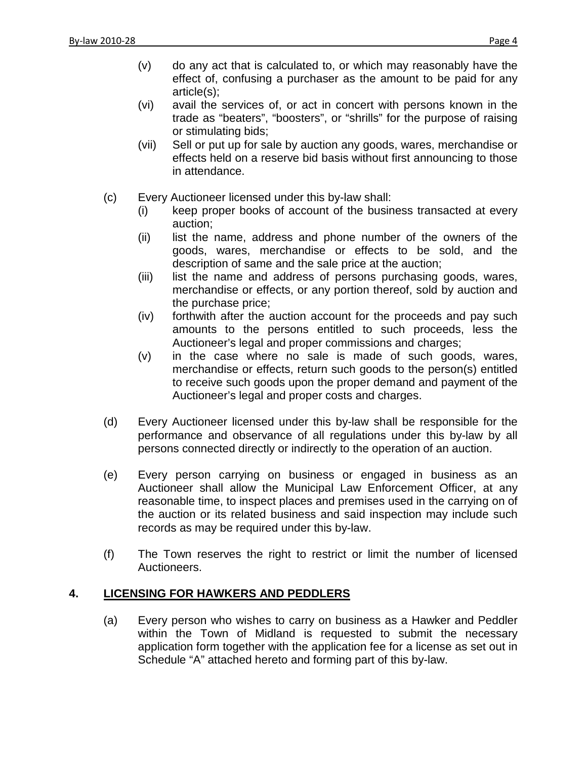- (v) do any act that is calculated to, or which may reasonably have the effect of, confusing a purchaser as the amount to be paid for any article(s);
- (vi) avail the services of, or act in concert with persons known in the trade as "beaters", "boosters", or "shrills" for the purpose of raising or stimulating bids;
- (vii) Sell or put up for sale by auction any goods, wares, merchandise or effects held on a reserve bid basis without first announcing to those in attendance.
- (c) Every Auctioneer licensed under this by-law shall:
	- (i) keep proper books of account of the business transacted at every auction;
	- (ii) list the name, address and phone number of the owners of the goods, wares, merchandise or effects to be sold, and the description of same and the sale price at the auction;
	- (iii) list the name and address of persons purchasing goods, wares, merchandise or effects, or any portion thereof, sold by auction and the purchase price;
	- (iv) forthwith after the auction account for the proceeds and pay such amounts to the persons entitled to such proceeds, less the Auctioneer's legal and proper commissions and charges;
	- (v) in the case where no sale is made of such goods, wares, merchandise or effects, return such goods to the person(s) entitled to receive such goods upon the proper demand and payment of the Auctioneer's legal and proper costs and charges.
- (d) Every Auctioneer licensed under this by-law shall be responsible for the performance and observance of all regulations under this by-law by all persons connected directly or indirectly to the operation of an auction.
- (e) Every person carrying on business or engaged in business as an Auctioneer shall allow the Municipal Law Enforcement Officer, at any reasonable time, to inspect places and premises used in the carrying on of the auction or its related business and said inspection may include such records as may be required under this by-law.
- (f) The Town reserves the right to restrict or limit the number of licensed Auctioneers.

# **4. LICENSING FOR HAWKERS AND PEDDLERS**

(a) Every person who wishes to carry on business as a Hawker and Peddler within the Town of Midland is requested to submit the necessary application form together with the application fee for a license as set out in Schedule "A" attached hereto and forming part of this by-law.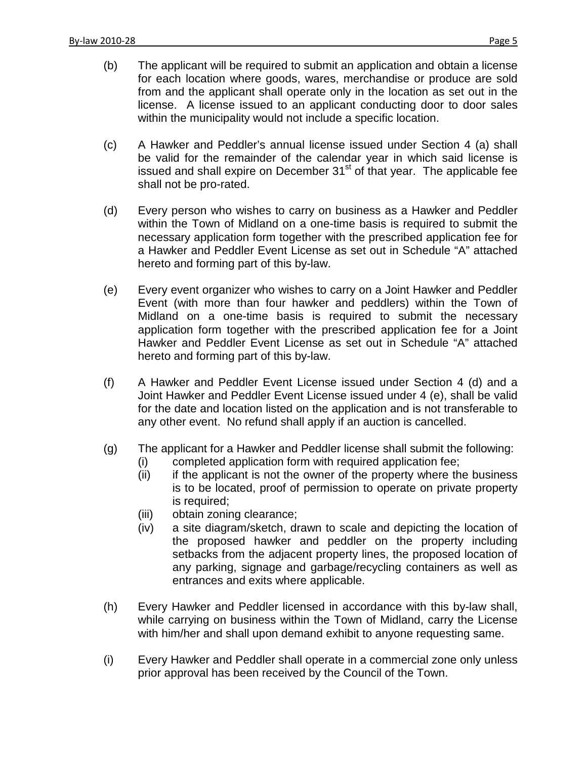- (b) The applicant will be required to submit an application and obtain a license for each location where goods, wares, merchandise or produce are sold from and the applicant shall operate only in the location as set out in the license. A license issued to an applicant conducting door to door sales within the municipality would not include a specific location.
- (c) A Hawker and Peddler's annual license issued under Section 4 (a) shall be valid for the remainder of the calendar year in which said license is issued and shall expire on December 31<sup>st</sup> of that year. The applicable fee shall not be pro-rated.
- (d) Every person who wishes to carry on business as a Hawker and Peddler within the Town of Midland on a one-time basis is required to submit the necessary application form together with the prescribed application fee for a Hawker and Peddler Event License as set out in Schedule "A" attached hereto and forming part of this by-law.
- (e) Every event organizer who wishes to carry on a Joint Hawker and Peddler Event (with more than four hawker and peddlers) within the Town of Midland on a one-time basis is required to submit the necessary application form together with the prescribed application fee for a Joint Hawker and Peddler Event License as set out in Schedule "A" attached hereto and forming part of this by-law.
- (f) A Hawker and Peddler Event License issued under Section 4 (d) and a Joint Hawker and Peddler Event License issued under 4 (e), shall be valid for the date and location listed on the application and is not transferable to any other event. No refund shall apply if an auction is cancelled.
- (g) The applicant for a Hawker and Peddler license shall submit the following:
	- (i) completed application form with required application fee;
	- (ii) if the applicant is not the owner of the property where the business is to be located, proof of permission to operate on private property is required;
	- (iii) obtain zoning clearance;
	- (iv) a site diagram/sketch, drawn to scale and depicting the location of the proposed hawker and peddler on the property including setbacks from the adjacent property lines, the proposed location of any parking, signage and garbage/recycling containers as well as entrances and exits where applicable.
- (h) Every Hawker and Peddler licensed in accordance with this by-law shall, while carrying on business within the Town of Midland, carry the License with him/her and shall upon demand exhibit to anyone requesting same.
- (i) Every Hawker and Peddler shall operate in a commercial zone only unless prior approval has been received by the Council of the Town.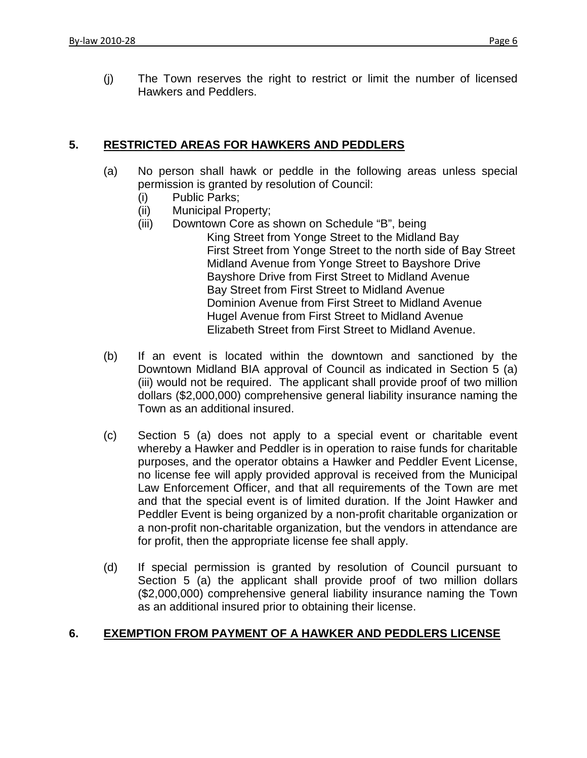(j) The Town reserves the right to restrict or limit the number of licensed Hawkers and Peddlers.

### **5. RESTRICTED AREAS FOR HAWKERS AND PEDDLERS**

- (a) No person shall hawk or peddle in the following areas unless special permission is granted by resolution of Council:
	- (i) Public Parks;
	- (ii) Municipal Property;
	- (iii) Downtown Core as shown on Schedule "B", being
		- King Street from Yonge Street to the Midland Bay First Street from Yonge Street to the north side of Bay Street Midland Avenue from Yonge Street to Bayshore Drive Bayshore Drive from First Street to Midland Avenue Bay Street from First Street to Midland Avenue Dominion Avenue from First Street to Midland Avenue Hugel Avenue from First Street to Midland Avenue Elizabeth Street from First Street to Midland Avenue.
- (b) If an event is located within the downtown and sanctioned by the Downtown Midland BIA approval of Council as indicated in Section 5 (a) (iii) would not be required. The applicant shall provide proof of two million dollars (\$2,000,000) comprehensive general liability insurance naming the Town as an additional insured.
- (c) Section 5 (a) does not apply to a special event or charitable event whereby a Hawker and Peddler is in operation to raise funds for charitable purposes, and the operator obtains a Hawker and Peddler Event License, no license fee will apply provided approval is received from the Municipal Law Enforcement Officer, and that all requirements of the Town are met and that the special event is of limited duration. If the Joint Hawker and Peddler Event is being organized by a non-profit charitable organization or a non-profit non-charitable organization, but the vendors in attendance are for profit, then the appropriate license fee shall apply.
- (d) If special permission is granted by resolution of Council pursuant to Section 5 (a) the applicant shall provide proof of two million dollars (\$2,000,000) comprehensive general liability insurance naming the Town as an additional insured prior to obtaining their license.

### **6. EXEMPTION FROM PAYMENT OF A HAWKER AND PEDDLERS LICENSE**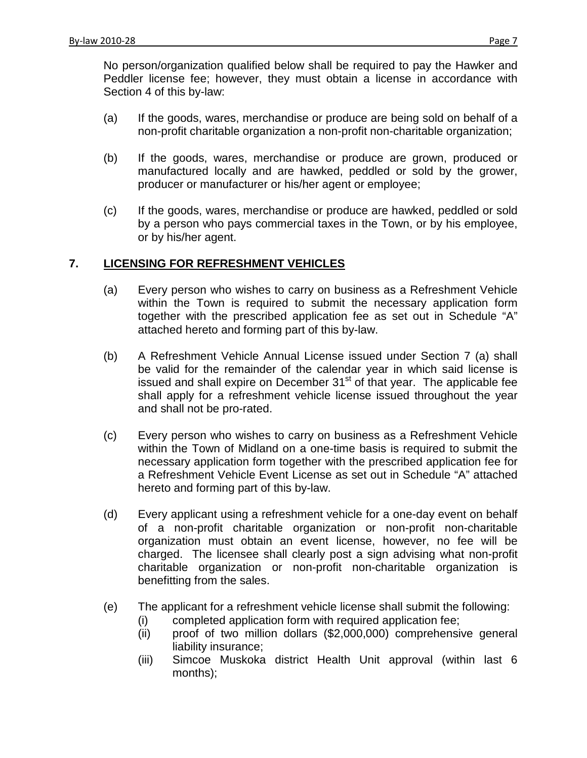No person/organization qualified below shall be required to pay the Hawker and Peddler license fee; however, they must obtain a license in accordance with Section 4 of this by-law:

- (a) If the goods, wares, merchandise or produce are being sold on behalf of a non-profit charitable organization a non-profit non-charitable organization;
- (b) If the goods, wares, merchandise or produce are grown, produced or manufactured locally and are hawked, peddled or sold by the grower, producer or manufacturer or his/her agent or employee;
- (c) If the goods, wares, merchandise or produce are hawked, peddled or sold by a person who pays commercial taxes in the Town, or by his employee, or by his/her agent.

### **7. LICENSING FOR REFRESHMENT VEHICLES**

- (a) Every person who wishes to carry on business as a Refreshment Vehicle within the Town is required to submit the necessary application form together with the prescribed application fee as set out in Schedule "A" attached hereto and forming part of this by-law.
- (b) A Refreshment Vehicle Annual License issued under Section 7 (a) shall be valid for the remainder of the calendar year in which said license is issued and shall expire on December 31<sup>st</sup> of that year. The applicable fee shall apply for a refreshment vehicle license issued throughout the year and shall not be pro-rated.
- (c) Every person who wishes to carry on business as a Refreshment Vehicle within the Town of Midland on a one-time basis is required to submit the necessary application form together with the prescribed application fee for a Refreshment Vehicle Event License as set out in Schedule "A" attached hereto and forming part of this by-law.
- (d) Every applicant using a refreshment vehicle for a one-day event on behalf of a non-profit charitable organization or non-profit non-charitable organization must obtain an event license, however, no fee will be charged. The licensee shall clearly post a sign advising what non-profit charitable organization or non-profit non-charitable organization is benefitting from the sales.
- (e) The applicant for a refreshment vehicle license shall submit the following:
	- (i) completed application form with required application fee;
	- (ii) proof of two million dollars (\$2,000,000) comprehensive general liability insurance;
	- (iii) Simcoe Muskoka district Health Unit approval (within last 6 months);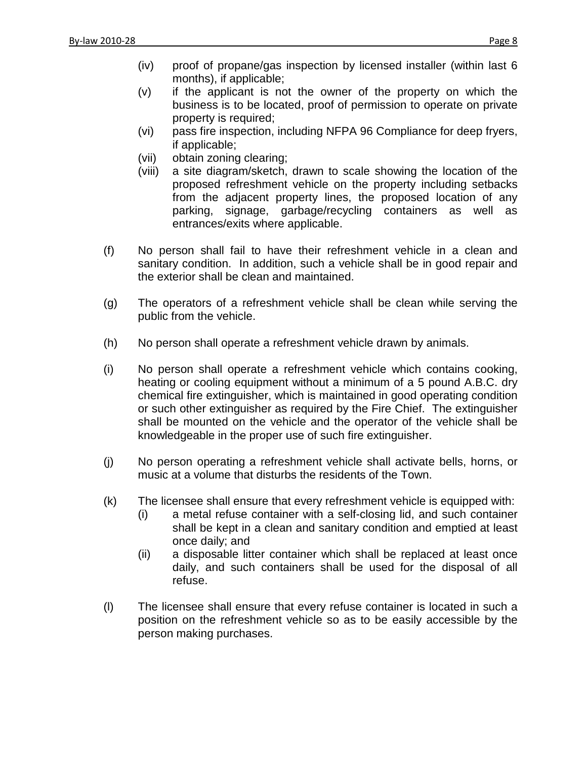- (iv) proof of propane/gas inspection by licensed installer (within last 6 months), if applicable;
- (v) if the applicant is not the owner of the property on which the business is to be located, proof of permission to operate on private property is required;
- (vi) pass fire inspection, including NFPA 96 Compliance for deep fryers, if applicable;
- (vii) obtain zoning clearing;
- (viii) a site diagram/sketch, drawn to scale showing the location of the proposed refreshment vehicle on the property including setbacks from the adjacent property lines, the proposed location of any parking, signage, garbage/recycling containers as well as entrances/exits where applicable.
- (f) No person shall fail to have their refreshment vehicle in a clean and sanitary condition. In addition, such a vehicle shall be in good repair and the exterior shall be clean and maintained.
- (g) The operators of a refreshment vehicle shall be clean while serving the public from the vehicle.
- (h) No person shall operate a refreshment vehicle drawn by animals.
- (i) No person shall operate a refreshment vehicle which contains cooking, heating or cooling equipment without a minimum of a 5 pound A.B.C. dry chemical fire extinguisher, which is maintained in good operating condition or such other extinguisher as required by the Fire Chief. The extinguisher shall be mounted on the vehicle and the operator of the vehicle shall be knowledgeable in the proper use of such fire extinguisher.
- (j) No person operating a refreshment vehicle shall activate bells, horns, or music at a volume that disturbs the residents of the Town.
- (k) The licensee shall ensure that every refreshment vehicle is equipped with:
	- (i) a metal refuse container with a self-closing lid, and such container shall be kept in a clean and sanitary condition and emptied at least once daily; and
	- (ii) a disposable litter container which shall be replaced at least once daily, and such containers shall be used for the disposal of all refuse.
- (l) The licensee shall ensure that every refuse container is located in such a position on the refreshment vehicle so as to be easily accessible by the person making purchases.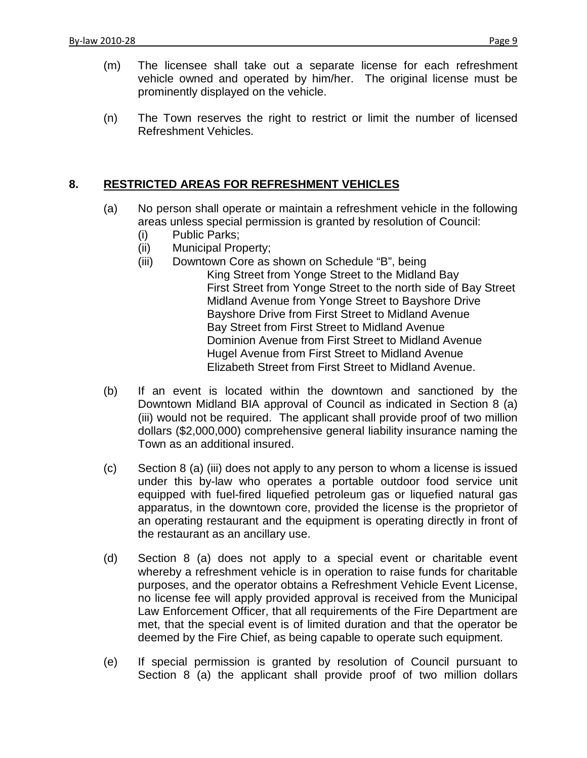- (m) The licensee shall take out a separate license for each refreshment vehicle owned and operated by him/her. The original license must be prominently displayed on the vehicle.
- (n) The Town reserves the right to restrict or limit the number of licensed Refreshment Vehicles.

# **8. RESTRICTED AREAS FOR REFRESHMENT VEHICLES**

- (a) No person shall operate or maintain a refreshment vehicle in the following areas unless special permission is granted by resolution of Council:
	- (i) Public Parks;
	- (ii) Municipal Property;
	- (iii) Downtown Core as shown on Schedule "B", being King Street from Yonge Street to the Midland Bay First Street from Yonge Street to the north side of Bay Street Midland Avenue from Yonge Street to Bayshore Drive Bayshore Drive from First Street to Midland Avenue Bay Street from First Street to Midland Avenue Dominion Avenue from First Street to Midland Avenue Hugel Avenue from First Street to Midland Avenue Elizabeth Street from First Street to Midland Avenue.
- (b) If an event is located within the downtown and sanctioned by the Downtown Midland BIA approval of Council as indicated in Section 8 (a) (iii) would not be required. The applicant shall provide proof of two million dollars (\$2,000,000) comprehensive general liability insurance naming the Town as an additional insured.
- (c) Section 8 (a) (iii) does not apply to any person to whom a license is issued under this by-law who operates a portable outdoor food service unit equipped with fuel-fired liquefied petroleum gas or liquefied natural gas apparatus, in the downtown core, provided the license is the proprietor of an operating restaurant and the equipment is operating directly in front of the restaurant as an ancillary use.
- (d) Section 8 (a) does not apply to a special event or charitable event whereby a refreshment vehicle is in operation to raise funds for charitable purposes, and the operator obtains a Refreshment Vehicle Event License, no license fee will apply provided approval is received from the Municipal Law Enforcement Officer, that all requirements of the Fire Department are met, that the special event is of limited duration and that the operator be deemed by the Fire Chief, as being capable to operate such equipment.
- (e) If special permission is granted by resolution of Council pursuant to Section 8 (a) the applicant shall provide proof of two million dollars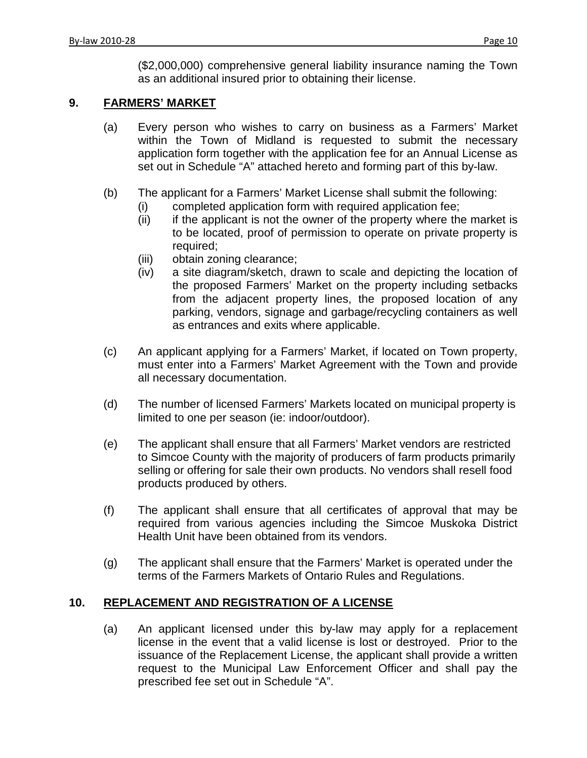(\$2,000,000) comprehensive general liability insurance naming the Town as an additional insured prior to obtaining their license.

### **9. FARMERS' MARKET**

- (a) Every person who wishes to carry on business as a Farmers' Market within the Town of Midland is requested to submit the necessary application form together with the application fee for an Annual License as set out in Schedule "A" attached hereto and forming part of this by-law.
- (b) The applicant for a Farmers' Market License shall submit the following:
	- (i) completed application form with required application fee;
	- (ii) if the applicant is not the owner of the property where the market is to be located, proof of permission to operate on private property is required;
	- (iii) obtain zoning clearance;
	- (iv) a site diagram/sketch, drawn to scale and depicting the location of the proposed Farmers' Market on the property including setbacks from the adjacent property lines, the proposed location of any parking, vendors, signage and garbage/recycling containers as well as entrances and exits where applicable.
- (c) An applicant applying for a Farmers' Market, if located on Town property, must enter into a Farmers' Market Agreement with the Town and provide all necessary documentation.
- (d) The number of licensed Farmers' Markets located on municipal property is limited to one per season (ie: indoor/outdoor).
- (e) The applicant shall ensure that all Farmers' Market vendors are restricted to Simcoe County with the majority of producers of farm products primarily selling or offering for sale their own products. No vendors shall resell food products produced by others.
- (f) The applicant shall ensure that all certificates of approval that may be required from various agencies including the Simcoe Muskoka District Health Unit have been obtained from its vendors.
- (g) The applicant shall ensure that the Farmers' Market is operated under the terms of the Farmers Markets of Ontario Rules and Regulations.

#### **10. REPLACEMENT AND REGISTRATION OF A LICENSE**

(a) An applicant licensed under this by-law may apply for a replacement license in the event that a valid license is lost or destroyed. Prior to the issuance of the Replacement License, the applicant shall provide a written request to the Municipal Law Enforcement Officer and shall pay the prescribed fee set out in Schedule "A".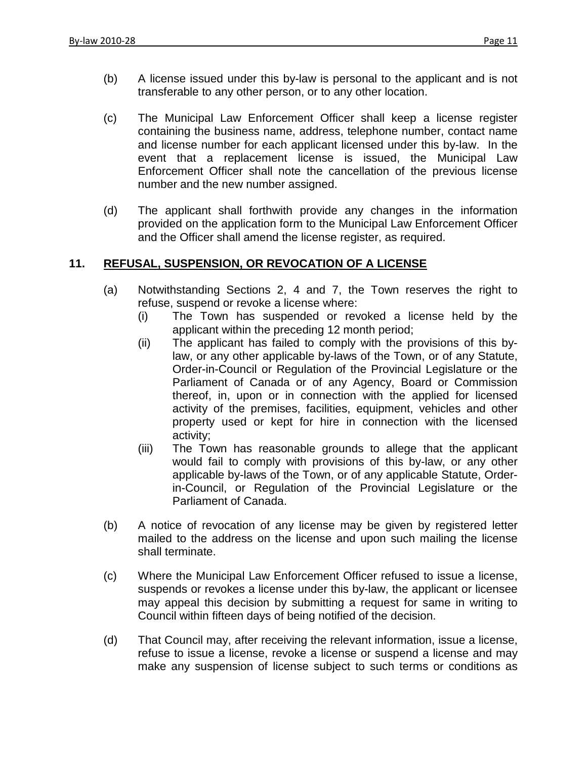- (b) A license issued under this by-law is personal to the applicant and is not transferable to any other person, or to any other location.
- (c) The Municipal Law Enforcement Officer shall keep a license register containing the business name, address, telephone number, contact name and license number for each applicant licensed under this by-law. In the event that a replacement license is issued, the Municipal Law Enforcement Officer shall note the cancellation of the previous license number and the new number assigned.
- (d) The applicant shall forthwith provide any changes in the information provided on the application form to the Municipal Law Enforcement Officer and the Officer shall amend the license register, as required.

### **11. REFUSAL, SUSPENSION, OR REVOCATION OF A LICENSE**

- (a) Notwithstanding Sections 2, 4 and 7, the Town reserves the right to refuse, suspend or revoke a license where:
	- (i) The Town has suspended or revoked a license held by the applicant within the preceding 12 month period;
	- (ii) The applicant has failed to comply with the provisions of this bylaw, or any other applicable by-laws of the Town, or of any Statute, Order-in-Council or Regulation of the Provincial Legislature or the Parliament of Canada or of any Agency, Board or Commission thereof, in, upon or in connection with the applied for licensed activity of the premises, facilities, equipment, vehicles and other property used or kept for hire in connection with the licensed activity;
	- (iii) The Town has reasonable grounds to allege that the applicant would fail to comply with provisions of this by-law, or any other applicable by-laws of the Town, or of any applicable Statute, Orderin-Council, or Regulation of the Provincial Legislature or the Parliament of Canada.
- (b) A notice of revocation of any license may be given by registered letter mailed to the address on the license and upon such mailing the license shall terminate.
- (c) Where the Municipal Law Enforcement Officer refused to issue a license, suspends or revokes a license under this by-law, the applicant or licensee may appeal this decision by submitting a request for same in writing to Council within fifteen days of being notified of the decision.
- (d) That Council may, after receiving the relevant information, issue a license, refuse to issue a license, revoke a license or suspend a license and may make any suspension of license subject to such terms or conditions as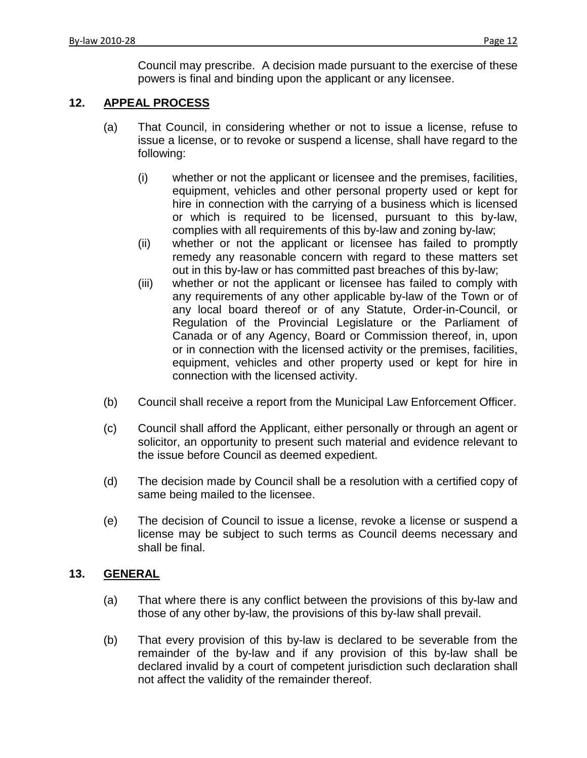Council may prescribe. A decision made pursuant to the exercise of these powers is final and binding upon the applicant or any licensee.

#### **12. APPEAL PROCESS**

- (a) That Council, in considering whether or not to issue a license, refuse to issue a license, or to revoke or suspend a license, shall have regard to the following:
	- (i) whether or not the applicant or licensee and the premises, facilities, equipment, vehicles and other personal property used or kept for hire in connection with the carrying of a business which is licensed or which is required to be licensed, pursuant to this by-law, complies with all requirements of this by-law and zoning by-law;
	- (ii) whether or not the applicant or licensee has failed to promptly remedy any reasonable concern with regard to these matters set out in this by-law or has committed past breaches of this by-law;
	- (iii) whether or not the applicant or licensee has failed to comply with any requirements of any other applicable by-law of the Town or of any local board thereof or of any Statute, Order-in-Council, or Regulation of the Provincial Legislature or the Parliament of Canada or of any Agency, Board or Commission thereof, in, upon or in connection with the licensed activity or the premises, facilities, equipment, vehicles and other property used or kept for hire in connection with the licensed activity.
- (b) Council shall receive a report from the Municipal Law Enforcement Officer.
- (c) Council shall afford the Applicant, either personally or through an agent or solicitor, an opportunity to present such material and evidence relevant to the issue before Council as deemed expedient.
- (d) The decision made by Council shall be a resolution with a certified copy of same being mailed to the licensee.
- (e) The decision of Council to issue a license, revoke a license or suspend a license may be subject to such terms as Council deems necessary and shall be final.

### **13. GENERAL**

- (a) That where there is any conflict between the provisions of this by-law and those of any other by-law, the provisions of this by-law shall prevail.
- (b) That every provision of this by-law is declared to be severable from the remainder of the by-law and if any provision of this by-law shall be declared invalid by a court of competent jurisdiction such declaration shall not affect the validity of the remainder thereof.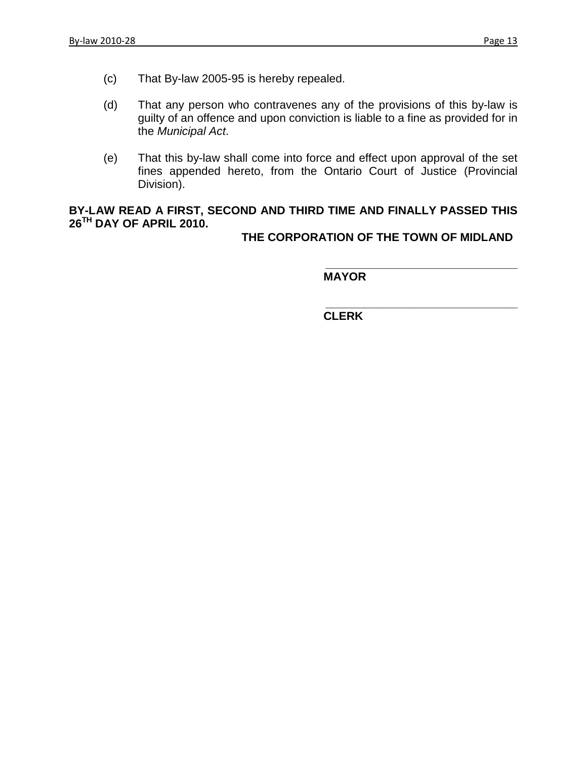- (c) That By-law 2005-95 is hereby repealed.
- (d) That any person who contravenes any of the provisions of this by-law is guilty of an offence and upon conviction is liable to a fine as provided for in the *Municipal Act*.
- (e) That this by-law shall come into force and effect upon approval of the set fines appended hereto, from the Ontario Court of Justice (Provincial Division).

### **BY-LAW READ A FIRST, SECOND AND THIRD TIME AND FINALLY PASSED THIS 26TH DAY OF APRIL 2010.**

**THE CORPORATION OF THE TOWN OF MIDLAND**

**\_\_\_\_\_\_\_\_\_\_\_\_\_\_\_\_\_\_\_\_\_\_\_\_\_\_\_\_\_\_**

**MAYOR**

**\_\_\_\_\_\_\_\_\_\_\_\_\_\_\_\_\_\_\_\_\_\_\_\_\_\_\_\_\_\_ CLERK**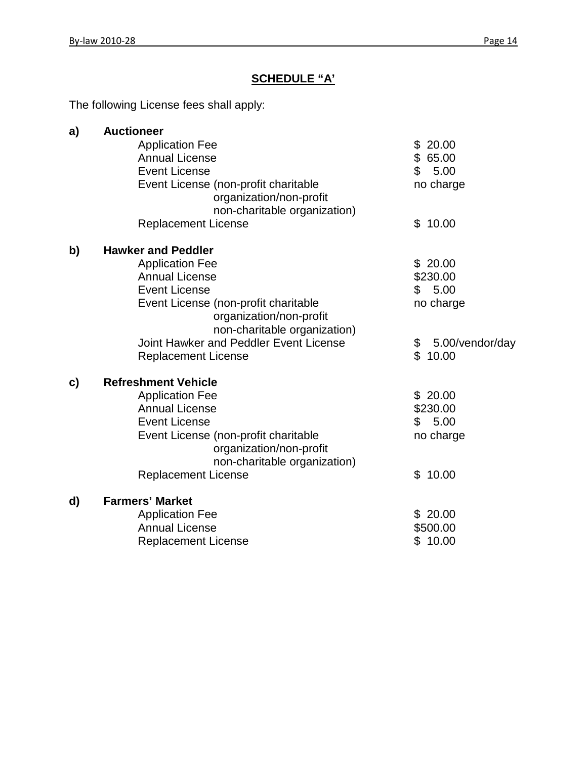# **SCHEDULE "A'**

The following License fees shall apply:

| a) | <b>Auctioneer</b>                      |                       |
|----|----------------------------------------|-----------------------|
|    | <b>Application Fee</b>                 | \$20.00               |
|    | <b>Annual License</b>                  | \$65.00               |
|    | <b>Event License</b>                   | \$<br>5.00            |
|    | Event License (non-profit charitable   | no charge             |
|    | organization/non-profit                |                       |
|    | non-charitable organization)           |                       |
|    | <b>Replacement License</b>             | 10.00<br>\$           |
| b) | <b>Hawker and Peddler</b>              |                       |
|    | <b>Application Fee</b>                 | \$20.00               |
|    | <b>Annual License</b>                  | \$230.00              |
|    | <b>Event License</b>                   | \$5.00                |
|    | Event License (non-profit charitable   | no charge             |
|    | organization/non-profit                |                       |
|    | non-charitable organization)           |                       |
|    | Joint Hawker and Peddler Event License | \$<br>5.00/vendor/day |
|    | <b>Replacement License</b>             | $\mathbb{S}$<br>10.00 |
| c) | <b>Refreshment Vehicle</b>             |                       |
|    | <b>Application Fee</b>                 | \$20.00               |
|    | <b>Annual License</b>                  | \$230.00              |
|    | <b>Event License</b>                   | 5.00<br>\$            |
|    | Event License (non-profit charitable   | no charge             |
|    | organization/non-profit                |                       |
|    | non-charitable organization)           |                       |
|    | <b>Replacement License</b>             | 10.00<br>\$           |
| d) | <b>Farmers' Market</b>                 |                       |
|    | <b>Application Fee</b>                 | \$20.00               |
|    | <b>Annual License</b>                  | \$500.00              |
|    | <b>Replacement License</b>             | \$10.00               |
|    |                                        |                       |